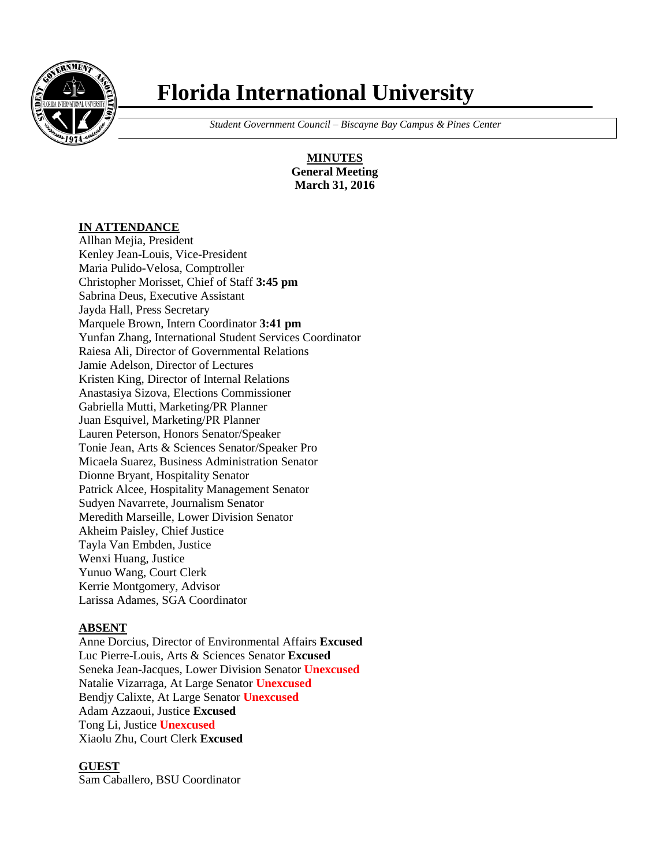

# **Florida International University**

 *Student Government Council – Biscayne Bay Campus & Pines Center*

**MINUTES General Meeting March 31, 2016**

#### **IN ATTENDANCE**

Allhan Mejia, President Kenley Jean-Louis, Vice-President Maria Pulido-Velosa, Comptroller Christopher Morisset, Chief of Staff **3:45 pm** Sabrina Deus, Executive Assistant Jayda Hall, Press Secretary Marquele Brown, Intern Coordinator **3:41 pm** Yunfan Zhang, International Student Services Coordinator Raiesa Ali, Director of Governmental Relations Jamie Adelson, Director of Lectures Kristen King, Director of Internal Relations Anastasiya Sizova, Elections Commissioner Gabriella Mutti, Marketing/PR Planner Juan Esquivel, Marketing/PR Planner Lauren Peterson, Honors Senator/Speaker Tonie Jean, Arts & Sciences Senator/Speaker Pro Micaela Suarez, Business Administration Senator Dionne Bryant, Hospitality Senator Patrick Alcee, Hospitality Management Senator Sudyen Navarrete, Journalism Senator Meredith Marseille, Lower Division Senator Akheim Paisley, Chief Justice Tayla Van Embden, Justice Wenxi Huang, Justice Yunuo Wang, Court Clerk Kerrie Montgomery, Advisor Larissa Adames, SGA Coordinator

#### **ABSENT**

Anne Dorcius, Director of Environmental Affairs **Excused** Luc Pierre-Louis, Arts & Sciences Senator **Excused** Seneka Jean-Jacques, Lower Division Senator **Unexcused** Natalie Vizarraga, At Large Senator **Unexcused** Bendjy Calixte, At Large Senator **Unexcused** Adam Azzaoui, Justice **Excused** Tong Li, Justice **Unexcused** Xiaolu Zhu, Court Clerk **Excused**

#### **GUEST**

Sam Caballero, BSU Coordinator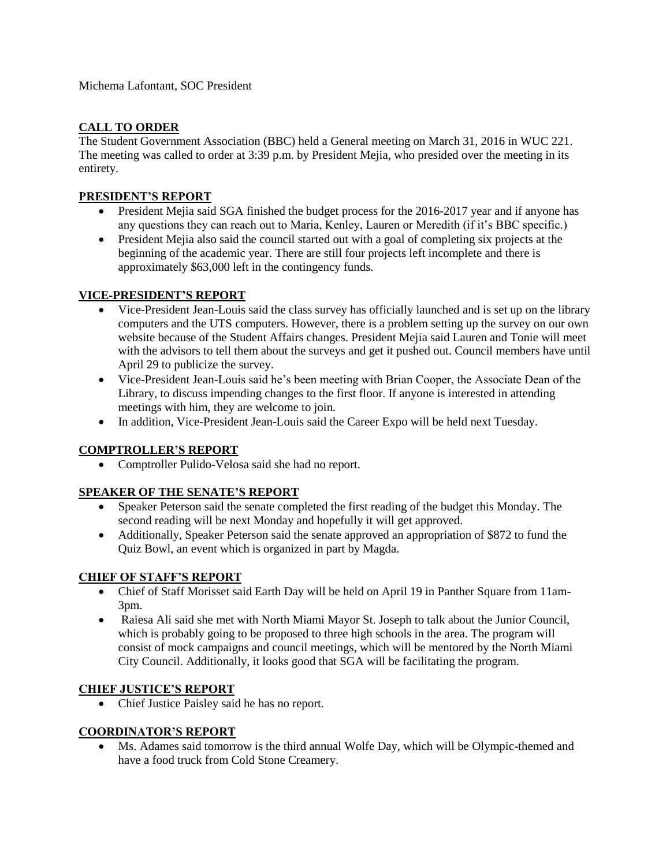Michema Lafontant, SOC President

# **CALL TO ORDER**

The Student Government Association (BBC) held a General meeting on March 31, 2016 in WUC 221. The meeting was called to order at 3:39 p.m. by President Mejia, who presided over the meeting in its entirety.

#### **PRESIDENT'S REPORT**

- President Mejia said SGA finished the budget process for the 2016-2017 year and if anyone has any questions they can reach out to Maria, Kenley, Lauren or Meredith (if it's BBC specific.)
- President Mejia also said the council started out with a goal of completing six projects at the beginning of the academic year. There are still four projects left incomplete and there is approximately \$63,000 left in the contingency funds.

## **VICE-PRESIDENT'S REPORT**

- Vice-President Jean-Louis said the class survey has officially launched and is set up on the library computers and the UTS computers. However, there is a problem setting up the survey on our own website because of the Student Affairs changes. President Mejia said Lauren and Tonie will meet with the advisors to tell them about the surveys and get it pushed out. Council members have until April 29 to publicize the survey.
- Vice-President Jean-Louis said he's been meeting with Brian Cooper, the Associate Dean of the Library, to discuss impending changes to the first floor. If anyone is interested in attending meetings with him, they are welcome to join.
- In addition, Vice-President Jean-Louis said the Career Expo will be held next Tuesday.

## **COMPTROLLER'S REPORT**

Comptroller Pulido-Velosa said she had no report.

## **SPEAKER OF THE SENATE'S REPORT**

- Speaker Peterson said the senate completed the first reading of the budget this Monday. The second reading will be next Monday and hopefully it will get approved.
- Additionally, Speaker Peterson said the senate approved an appropriation of \$872 to fund the Quiz Bowl, an event which is organized in part by Magda.

## **CHIEF OF STAFF'S REPORT**

- Chief of Staff Morisset said Earth Day will be held on April 19 in Panther Square from 11am-3pm.
- Raiesa Ali said she met with North Miami Mayor St. Joseph to talk about the Junior Council, which is probably going to be proposed to three high schools in the area. The program will consist of mock campaigns and council meetings, which will be mentored by the North Miami City Council. Additionally, it looks good that SGA will be facilitating the program.

## **CHIEF JUSTICE'S REPORT**

Chief Justice Paisley said he has no report.

## **COORDINATOR'S REPORT**

 Ms. Adames said tomorrow is the third annual Wolfe Day, which will be Olympic-themed and have a food truck from Cold Stone Creamery.